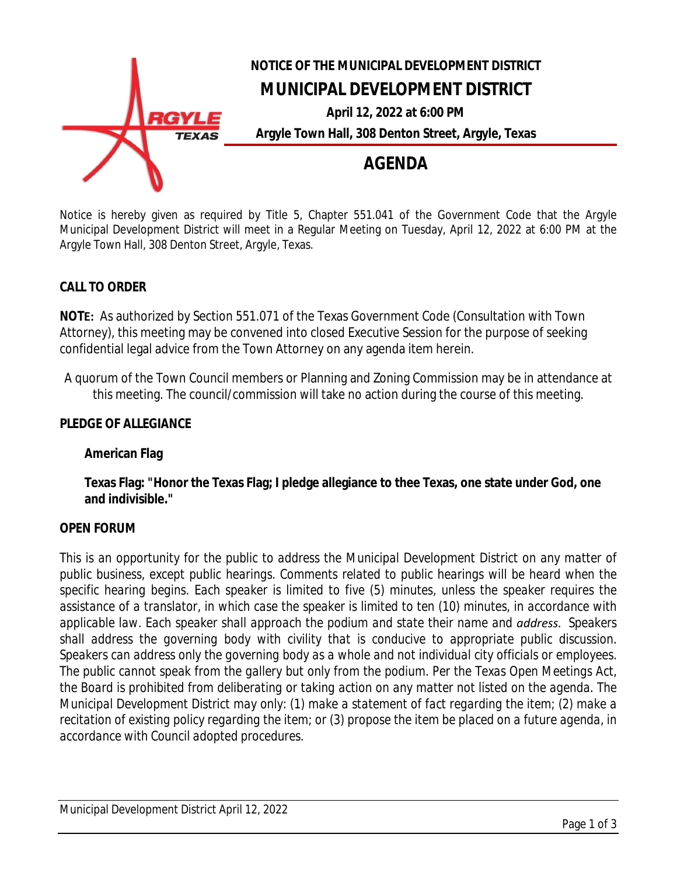

Notice is hereby given as required by Title 5, Chapter 551.041 of the Government Code that the Argyle Municipal Development District will meet in a Regular Meeting on Tuesday, April 12, 2022 at 6:00 PM at the Argyle Town Hall, 308 Denton Street, Argyle, Texas.

# **CALL TO ORDER**

**NOTE:** As authorized by Section 551.071 of the Texas Government Code (Consultation with Town Attorney), this meeting may be convened into closed Executive Session for the purpose of seeking confidential legal advice from the Town Attorney on any agenda item herein.

A quorum of the Town Council members or Planning and Zoning Commission may be in attendance at this meeting. The council/commission will take no action during the course of this meeting.

## **PLEDGE OF ALLEGIANCE**

#### **American Flag**

**Texas Flag: "Honor the Texas Flag; I pledge allegiance to thee Texas, one state under God, one and indivisible."**

#### **OPEN FORUM**

*This is an opportunity for the public to address the Municipal Development District on any matter of public business, except public hearings. Comments related to public hearings will be heard when the specific hearing begins. Each speaker is limited to five (5) minutes, unless the speaker requires the* assistance of a translator, in which case the speaker is limited to ten (10) minutes, in accordance with *applicable law. Each speaker shall approach the podium and state their name and address. Speakers shall address the governing body with civility that is conducive to appropriate public discussion. Speakers can address only the governing body as a whole and not individual city officials or employees.* The public cannot speak from the gallery but only from the podium. Per the Texas Open Meetings Act, the Board is prohibited from deliberating or taking action on any matter not listed on the agenda. The *Municipal Development District may only: (1) make a statement of fact regarding the item; (2) make a* recitation of existing policy regarding the item; or (3) propose the item be placed on a future agenda, in *accordance with Council adopted procedures.*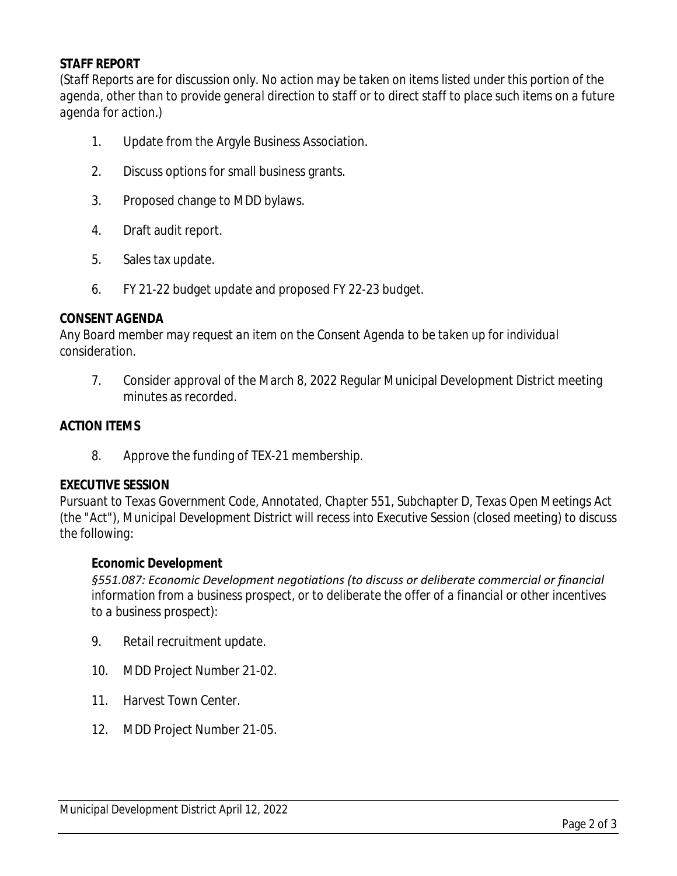# **STAFF REPORT**

*(Staff Reports are for discussion only. No action may be taken on items listed under this portion of the agenda, other than to provide general direction to staff or to direct staff to place such items on a future agenda for action.)*

- 1. Update from the Argyle Business Association.
- 2. Discuss options for small business grants.
- 3. Proposed change to MDD bylaws.
- 4. Draft audit report.
- 5. Sales tax update.
- 6. FY 21-22 budget update and proposed FY 22-23 budget.

#### **CONSENT AGENDA**

*Any Board member may request an item on the Consent Agenda to be taken up for individual consideration.*

7. Consider approval of the March 8, 2022 Regular Municipal Development District meeting minutes as recorded.

#### **ACTION ITEMS**

8. Approve the funding of TEX-21 membership.

#### **EXECUTIVE SESSION**

*Pursuant to Texas Government Code, Annotated, Chapter 551, Subchapter D, Texas Open Meetings Act (the "Act"), Municipal Development District will recess into Executive Session (closed meeting) to discuss the following:*

#### **Economic Development**

*§551.087: Economic Development negotiations (to discuss or deliberate commercial or financial information from a business prospect, or to deliberate the offer of a financial or other incentives to a business prospect):*

- 9. Retail recruitment update.
- 10. MDD Project Number 21-02.
- 11. Harvest Town Center.
- 12. MDD Project Number 21-05.